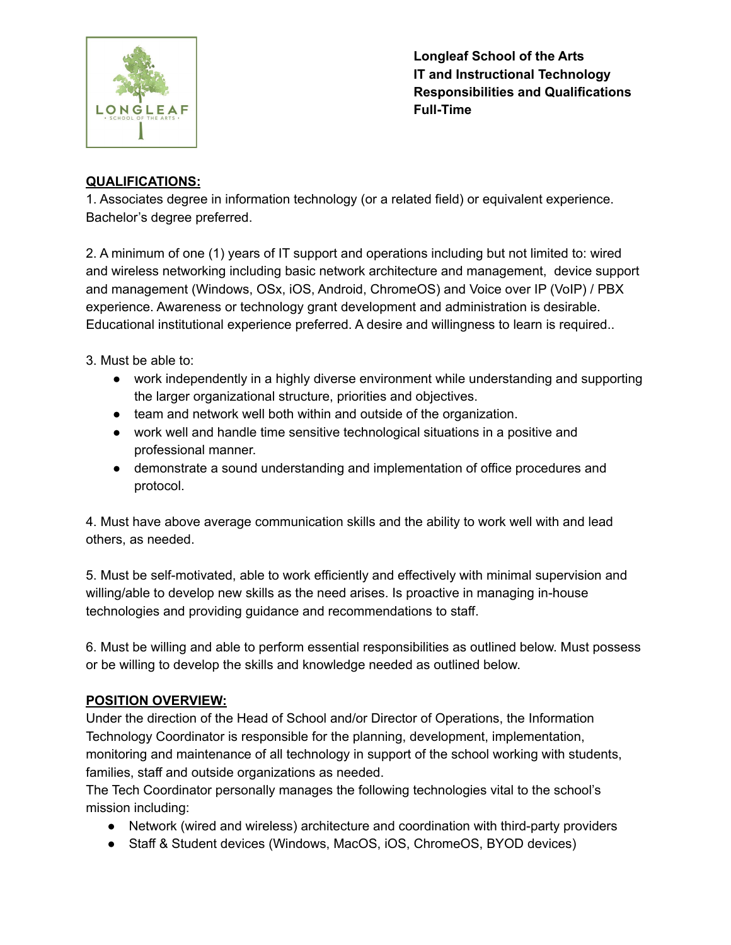

**Longleaf School of the Arts IT and Instructional Technology Responsibilities and Qualifications Full-Time**

## **QUALIFICATIONS:**

1. Associates degree in information technology (or a related field) or equivalent experience. Bachelor's degree preferred.

2. A minimum of one (1) years of IT support and operations including but not limited to: wired and wireless networking including basic network architecture and management, device support and management (Windows, OSx, iOS, Android, ChromeOS) and Voice over IP (VoIP) / PBX experience. Awareness or technology grant development and administration is desirable. Educational institutional experience preferred. A desire and willingness to learn is required..

3. Must be able to:

- work independently in a highly diverse environment while understanding and supporting the larger organizational structure, priorities and objectives.
- team and network well both within and outside of the organization.
- work well and handle time sensitive technological situations in a positive and professional manner.
- demonstrate a sound understanding and implementation of office procedures and protocol.

4. Must have above average communication skills and the ability to work well with and lead others, as needed.

5. Must be self-motivated, able to work efficiently and effectively with minimal supervision and willing/able to develop new skills as the need arises. Is proactive in managing in-house technologies and providing guidance and recommendations to staff.

6. Must be willing and able to perform essential responsibilities as outlined below. Must possess or be willing to develop the skills and knowledge needed as outlined below.

# **POSITION OVERVIEW:**

Under the direction of the Head of School and/or Director of Operations, the Information Technology Coordinator is responsible for the planning, development, implementation, monitoring and maintenance of all technology in support of the school working with students, families, staff and outside organizations as needed.

The Tech Coordinator personally manages the following technologies vital to the school's mission including:

- Network (wired and wireless) architecture and coordination with third-party providers
- Staff & Student devices (Windows, MacOS, iOS, ChromeOS, BYOD devices)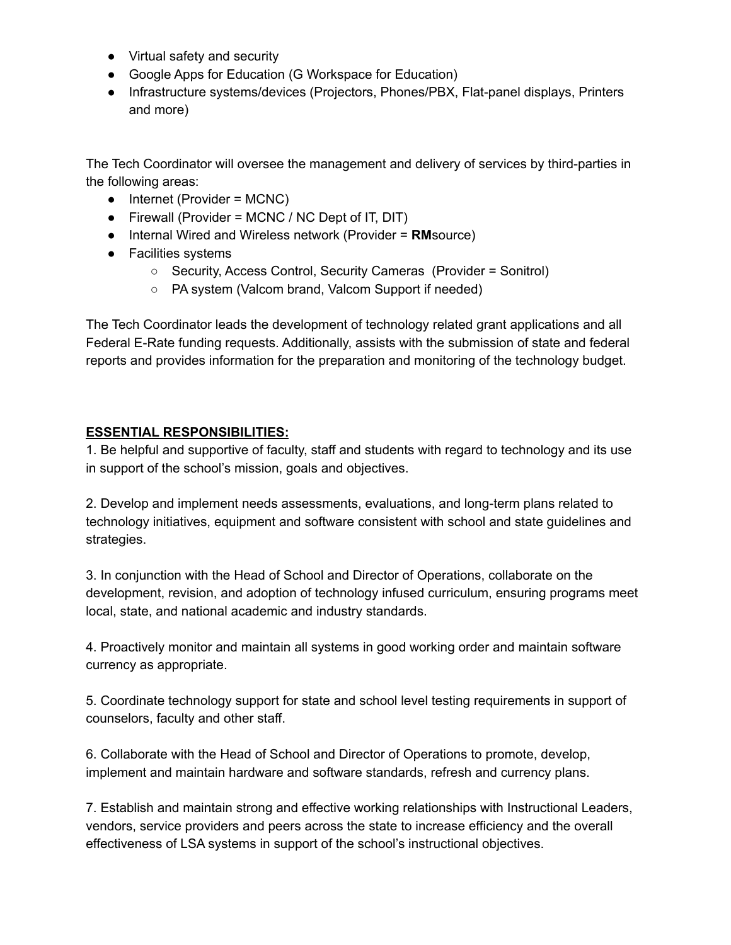- Virtual safety and security
- Google Apps for Education (G Workspace for Education)
- Infrastructure systems/devices (Projectors, Phones/PBX, Flat-panel displays, Printers and more)

The Tech Coordinator will oversee the management and delivery of services by third-parties in the following areas:

- $\bullet$  Internet (Provider = MCNC)
- $\bullet$  Firewall (Provider = MCNC / NC Dept of IT, DIT)
- Internal Wired and Wireless network (Provider = **RM**source)
- Facilities systems
	- Security, Access Control, Security Cameras (Provider = Sonitrol)
	- PA system (Valcom brand, Valcom Support if needed)

The Tech Coordinator leads the development of technology related grant applications and all Federal E-Rate funding requests. Additionally, assists with the submission of state and federal reports and provides information for the preparation and monitoring of the technology budget.

#### **ESSENTIAL RESPONSIBILITIES:**

1. Be helpful and supportive of faculty, staff and students with regard to technology and its use in support of the school's mission, goals and objectives.

2. Develop and implement needs assessments, evaluations, and long-term plans related to technology initiatives, equipment and software consistent with school and state guidelines and strategies.

3. In conjunction with the Head of School and Director of Operations, collaborate on the development, revision, and adoption of technology infused curriculum, ensuring programs meet local, state, and national academic and industry standards.

4. Proactively monitor and maintain all systems in good working order and maintain software currency as appropriate.

5. Coordinate technology support for state and school level testing requirements in support of counselors, faculty and other staff.

6. Collaborate with the Head of School and Director of Operations to promote, develop, implement and maintain hardware and software standards, refresh and currency plans.

7. Establish and maintain strong and effective working relationships with Instructional Leaders, vendors, service providers and peers across the state to increase efficiency and the overall effectiveness of LSA systems in support of the school's instructional objectives.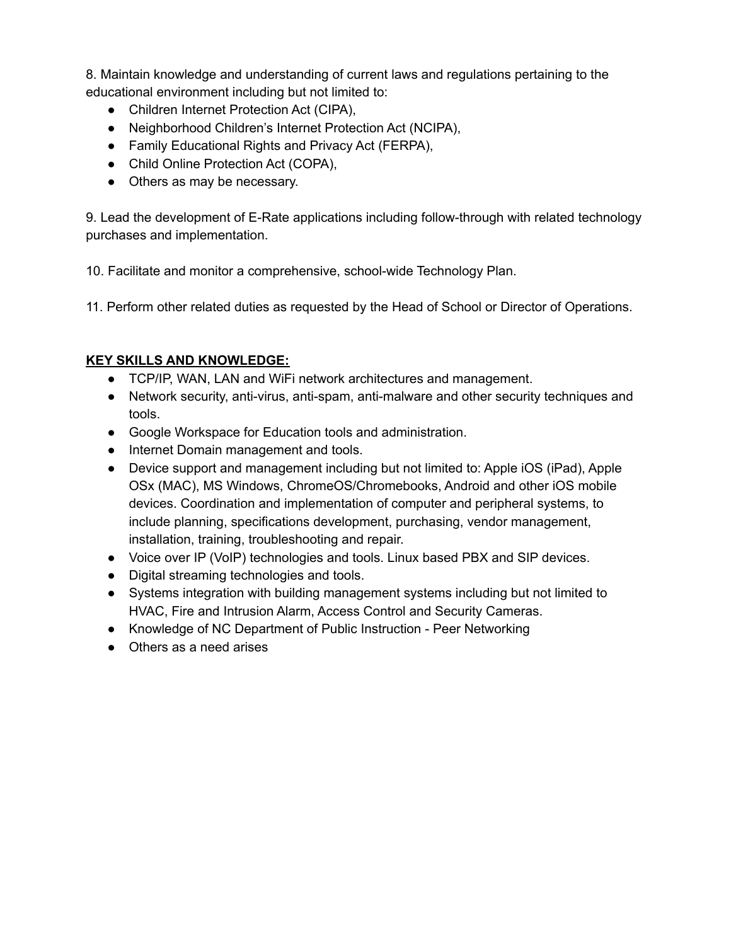8. Maintain knowledge and understanding of current laws and regulations pertaining to the educational environment including but not limited to:

- Children Internet Protection Act (CIPA),
- Neighborhood Children's Internet Protection Act (NCIPA),
- Family Educational Rights and Privacy Act (FERPA),
- Child Online Protection Act (COPA),
- Others as may be necessary.

9. Lead the development of E-Rate applications including follow-through with related technology purchases and implementation.

10. Facilitate and monitor a comprehensive, school-wide Technology Plan.

11. Perform other related duties as requested by the Head of School or Director of Operations.

### **KEY SKILLS AND KNOWLEDGE:**

- TCP/IP, WAN, LAN and WiFi network architectures and management.
- Network security, anti-virus, anti-spam, anti-malware and other security techniques and tools.
- Google Workspace for Education tools and administration.
- Internet Domain management and tools.
- Device support and management including but not limited to: Apple iOS (iPad), Apple OSx (MAC), MS Windows, ChromeOS/Chromebooks, Android and other iOS mobile devices. Coordination and implementation of computer and peripheral systems, to include planning, specifications development, purchasing, vendor management, installation, training, troubleshooting and repair.
- Voice over IP (VoIP) technologies and tools. Linux based PBX and SIP devices.
- Digital streaming technologies and tools.
- Systems integration with building management systems including but not limited to HVAC, Fire and Intrusion Alarm, Access Control and Security Cameras.
- Knowledge of NC Department of Public Instruction Peer Networking
- Others as a need arises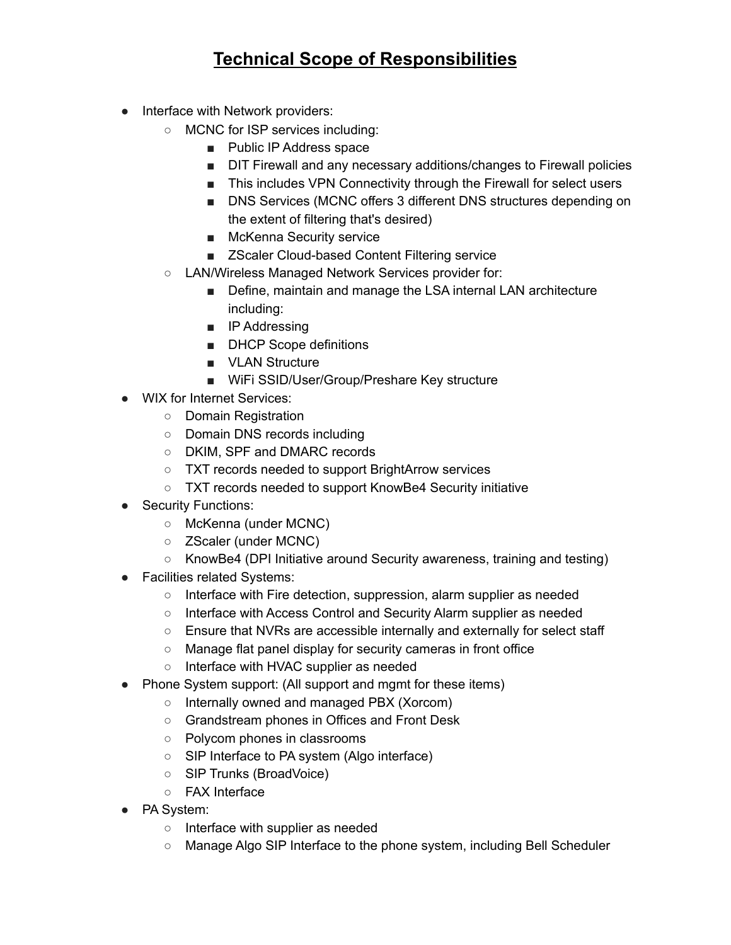# **Technical Scope of Responsibilities**

- Interface with Network providers:
	- MCNC for ISP services including:
		- Public IP Address space
		- DIT Firewall and any necessary additions/changes to Firewall policies
		- This includes VPN Connectivity through the Firewall for select users
		- DNS Services (MCNC offers 3 different DNS structures depending on the extent of filtering that's desired)
		- McKenna Security service
		- ZScaler Cloud-based Content Filtering service
	- LAN/Wireless Managed Network Services provider for:
		- Define, maintain and manage the LSA internal LAN architecture including:
		- IP Addressing
		- DHCP Scope definitions
		- VLAN Structure
		- WiFi SSID/User/Group/Preshare Key structure
- WIX for Internet Services:
	- Domain Registration
	- Domain DNS records including
	- DKIM, SPF and DMARC records
	- TXT records needed to support BrightArrow services
	- TXT records needed to support KnowBe4 Security initiative
- **Security Functions:** 
	- McKenna (under MCNC)
	- ZScaler (under MCNC)
	- KnowBe4 (DPI Initiative around Security awareness, training and testing)
- Facilities related Systems:
	- Interface with Fire detection, suppression, alarm supplier as needed
	- Interface with Access Control and Security Alarm supplier as needed
	- Ensure that NVRs are accessible internally and externally for select staff
	- Manage flat panel display for security cameras in front office
	- Interface with HVAC supplier as needed
- Phone System support: (All support and mgmt for these items)
	- Internally owned and managed PBX (Xorcom)
	- Grandstream phones in Offices and Front Desk
	- Polycom phones in classrooms
	- SIP Interface to PA system (Algo interface)
	- SIP Trunks (BroadVoice)
	- FAX Interface
- PA System:
	- Interface with supplier as needed
	- Manage Algo SIP Interface to the phone system, including Bell Scheduler